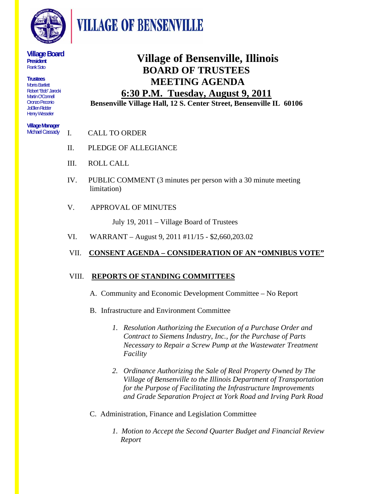

**VILLAGE OF BENSENVILLE** 

#### **Village Board President**  Frank Soto

**Trustees**  Morris Bartlett Robert "Bob" Jarecki Martin O'Connell Oronzo Peconio JoEllen Ridder Henry Wesseler

#### **Village Manager**  Michael Cassady

**Village of Bensenville, Illinois BOARD OF TRUSTEES MEETING AGENDA** 

# **6:30 P.M. Tuesday, August 9, 2011 Bensenville Village Hall, 12 S. Center Street, Bensenville IL 60106**

- I. CALL TO ORDER
- II. PLEDGE OF ALLEGIANCE
- III. ROLL CALL
- IV. PUBLIC COMMENT (3 minutes per person with a 30 minute meeting limitation)

# V. APPROVAL OF MINUTES

July 19, 2011 – Village Board of Trustees

VI. WARRANT – August 9, 2011 #11/15 - \$2,660,203.02

# VII. **CONSENT AGENDA – CONSIDERATION OF AN "OMNIBUS VOTE"**

### VIII. **REPORTS OF STANDING COMMITTEES**

- A. Community and Economic Development Committee No Report
- B. Infrastructure and Environment Committee
	- *1. Resolution Authorizing the Execution of a Purchase Order and Contract to Siemens Industry, Inc., for the Purchase of Parts Necessary to Repair a Screw Pump at the Wastewater Treatment Facility*
	- *2. Ordinance Authorizing the Sale of Real Property Owned by The Village of Bensenville to the Illinois Department of Transportation for the Purpose of Facilitating the Infrastructure Improvements and Grade Separation Project at York Road and Irving Park Road*

### C. Administration, Finance and Legislation Committee

 *1. Motion to Accept the Second Quarter Budget and Financial Review Report*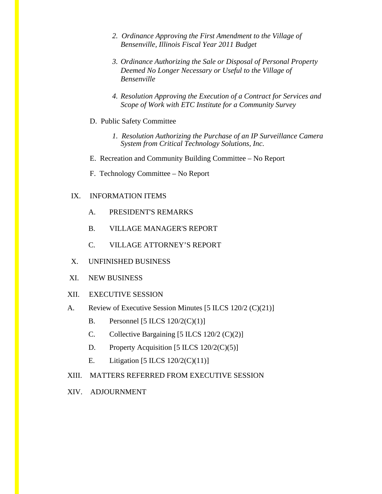- *2. Ordinance Approving the First Amendment to the Village of Bensenville, Illinois Fiscal Year 2011 Budget*
- *3. Ordinance Authorizing the Sale or Disposal of Personal Property Deemed No Longer Necessary or Useful to the Village of Bensenville*
- *4. Resolution Approving the Execution of a Contract for Services and Scope of Work with ETC Institute for a Community Survey*
- D. Public Safety Committee
	- *1. Resolution Authorizing the Purchase of an IP Surveillance Camera System from Critical Technology Solutions, Inc.*
- E. Recreation and Community Building Committee No Report
- F. Technology Committee No Report

#### IX. INFORMATION ITEMS

- A. PRESIDENT'S REMARKS
- B. VILLAGE MANAGER'S REPORT
- C. VILLAGE ATTORNEY'S REPORT
- X. UNFINISHED BUSINESS
- XI. NEW BUSINESS
- XII. EXECUTIVE SESSION
- A. Review of Executive Session Minutes [5 ILCS 120/2 (C)(21)]
	- B. Personnel  $[5 \text{ ILCS } 120/2 \text{ (C)}(1)]$
	- C. Collective Bargaining  $[5 \text{ ILCS } 120/2 \text{ (C)}(2)]$
	- D. Property Acquisition [5 ILCS 120/2(C)(5)]
	- E. Litigation [5 ILCS 120/2(C)(11)]
- XIII. MATTERS REFERRED FROM EXECUTIVE SESSION
- XIV. ADJOURNMENT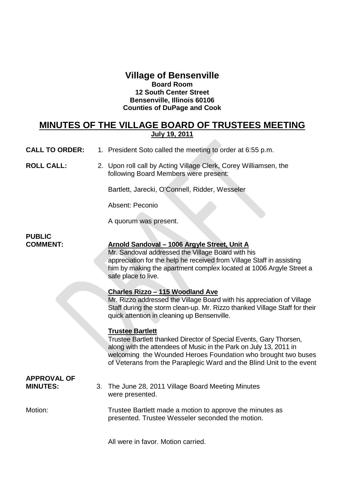# **Village of Bensenville Board Room 12 South Center Street Bensenville, Illinois 60106 Counties of DuPage and Cook**

# **MINUTES OF THE VILLAGE BOARD OF TRUSTEES MEETING July 19, 2011**

**CALL TO ORDER:** 1. President Soto called the meeting to order at 6:55 p.m.

**ROLL CALL:** 2. Upon roll call by Acting Village Clerk, Corey Williamsen, the following Board Members were present:

Bartlett, Jarecki, O'Connell, Ridder, Wesseler

Absent: Peconio

A quorum was present.

# **PUBLIC**

## **COMMENT: Arnold Sandoval – 1006 Argyle Street, Unit A**

Mr. Sandoval addressed the Village Board with his appreciation for the help he received from Village Staff in assisting him by making the apartment complex located at 1006 Argyle Street a safe place to live.

#### **Charles Rizzo – 115 Woodland Ave**

Mr. Rizzo addressed the Village Board with his appreciation of Village Staff during the storm clean-up. Mr. Rizzo thanked Village Staff for their quick attention in cleaning up Bensenville.

#### **Trustee Bartlett**

Trustee Bartlett thanked Director of Special Events, Gary Thorsen, along with the attendees of Music in the Park on July 13, 2011 in welcoming the Wounded Heroes Foundation who brought two buses of Veterans from the Paraplegic Ward and the Blind Unit to the event

# **APPROVAL OF**

**MINUTES:** 3. The June 28, 2011 Village Board Meeting Minutes were presented.

Motion: Trustee Bartlett made a motion to approve the minutes as presented. Trustee Wesseler seconded the motion.

All were in favor. Motion carried.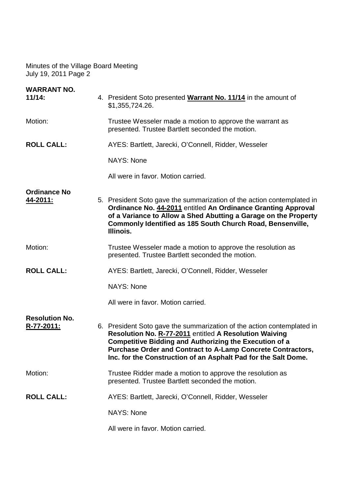| <b>WARRANT NO.</b><br>11/14:        | 4. President Soto presented <b>Warrant No. 11/14</b> in the amount of<br>\$1,355,724.26.                                                                                                                                                                                                                                                  |
|-------------------------------------|-------------------------------------------------------------------------------------------------------------------------------------------------------------------------------------------------------------------------------------------------------------------------------------------------------------------------------------------|
| Motion:                             | Trustee Wesseler made a motion to approve the warrant as<br>presented. Trustee Bartlett seconded the motion.                                                                                                                                                                                                                              |
| <b>ROLL CALL:</b>                   | AYES: Bartlett, Jarecki, O'Connell, Ridder, Wesseler                                                                                                                                                                                                                                                                                      |
|                                     | NAYS: None                                                                                                                                                                                                                                                                                                                                |
|                                     | All were in favor. Motion carried.                                                                                                                                                                                                                                                                                                        |
| <b>Ordinance No</b><br>44-2011:     | 5. President Soto gave the summarization of the action contemplated in<br>Ordinance No. 44-2011 entitled An Ordinance Granting Approval<br>of a Variance to Allow a Shed Abutting a Garage on the Property<br>Commonly Identified as 185 South Church Road, Bensenville,<br>Illinois.                                                     |
| Motion:                             | Trustee Wesseler made a motion to approve the resolution as<br>presented. Trustee Bartlett seconded the motion.                                                                                                                                                                                                                           |
| <b>ROLL CALL:</b>                   | AYES: Bartlett, Jarecki, O'Connell, Ridder, Wesseler                                                                                                                                                                                                                                                                                      |
|                                     | NAYS: None                                                                                                                                                                                                                                                                                                                                |
|                                     | All were in favor. Motion carried.                                                                                                                                                                                                                                                                                                        |
| <b>Resolution No.</b><br>R-77-2011: | 6. President Soto gave the summarization of the action contemplated in<br>Resolution No. R-77-2011 entitled A Resolution Waiving<br><b>Competitive Bidding and Authorizing the Execution of a</b><br><b>Purchase Order and Contract to A-Lamp Concrete Contractors,</b><br>Inc. for the Construction of an Asphalt Pad for the Salt Dome. |
| Motion:                             | Trustee Ridder made a motion to approve the resolution as<br>presented. Trustee Bartlett seconded the motion.                                                                                                                                                                                                                             |
| <b>ROLL CALL:</b>                   | AYES: Bartlett, Jarecki, O'Connell, Ridder, Wesseler                                                                                                                                                                                                                                                                                      |
|                                     | <b>NAYS: None</b>                                                                                                                                                                                                                                                                                                                         |
|                                     | All were in favor. Motion carried.                                                                                                                                                                                                                                                                                                        |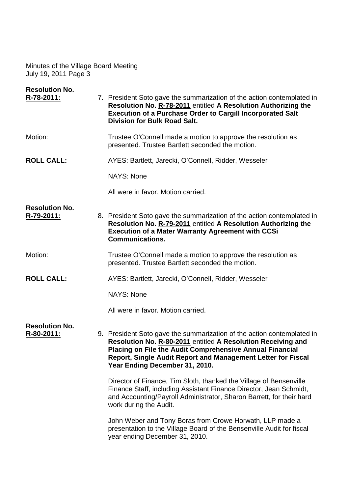| <b>Resolution No.</b><br>R-78-2011: | 7. President Soto gave the summarization of the action contemplated in                                                                                                                                                                                                                                      |
|-------------------------------------|-------------------------------------------------------------------------------------------------------------------------------------------------------------------------------------------------------------------------------------------------------------------------------------------------------------|
|                                     | Resolution No. R-78-2011 entitled A Resolution Authorizing the<br><b>Execution of a Purchase Order to Cargill Incorporated Salt</b><br><b>Division for Bulk Road Salt.</b>                                                                                                                                  |
| Motion:                             | Trustee O'Connell made a motion to approve the resolution as<br>presented. Trustee Bartlett seconded the motion.                                                                                                                                                                                            |
| <b>ROLL CALL:</b>                   | AYES: Bartlett, Jarecki, O'Connell, Ridder, Wesseler                                                                                                                                                                                                                                                        |
|                                     | <b>NAYS: None</b>                                                                                                                                                                                                                                                                                           |
|                                     | All were in favor. Motion carried.                                                                                                                                                                                                                                                                          |
| <b>Resolution No.</b><br>R-79-2011: | 8. President Soto gave the summarization of the action contemplated in<br>Resolution No. R-79-2011 entitled A Resolution Authorizing the<br><b>Execution of a Mater Warranty Agreement with CCSi</b><br><b>Communications.</b>                                                                              |
| Motion:                             | Trustee O'Connell made a motion to approve the resolution as<br>presented. Trustee Bartlett seconded the motion.                                                                                                                                                                                            |
| <b>ROLL CALL:</b>                   | AYES: Bartlett, Jarecki, O'Connell, Ridder, Wesseler                                                                                                                                                                                                                                                        |
|                                     | <b>NAYS: None</b>                                                                                                                                                                                                                                                                                           |
|                                     | All were in favor. Motion carried.                                                                                                                                                                                                                                                                          |
| <b>Resolution No.</b><br>R-80-2011: | 9. President Soto gave the summarization of the action contemplated in<br>Resolution No. R-80-2011 entitled A Resolution Receiving and<br><b>Placing on File the Audit Comprehensive Annual Financial</b><br>Report, Single Audit Report and Management Letter for Fiscal<br>Year Ending December 31, 2010. |
|                                     | Director of Finance, Tim Sloth, thanked the Village of Bensenville<br>Finance Staff, including Assistant Finance Director, Jean Schmidt,<br>and Accounting/Payroll Administrator, Sharon Barrett, for their hard<br>work during the Audit.                                                                  |
|                                     | John Weber and Tony Boras from Crowe Horwath, LLP made a<br>presentation to the Village Board of the Bensenville Audit for fiscal<br>year ending December 31, 2010.                                                                                                                                         |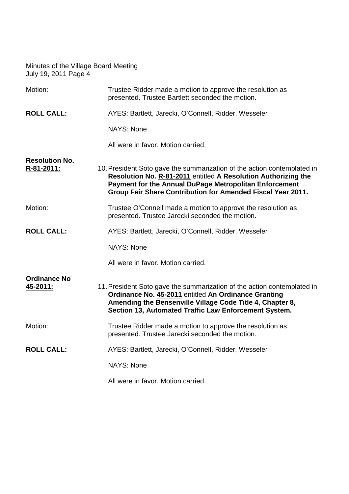| Motion:                             | Trustee Ridder made a motion to approve the resolution as<br>presented. Trustee Bartlett seconded the motion.                                                                                                                                                      |
|-------------------------------------|--------------------------------------------------------------------------------------------------------------------------------------------------------------------------------------------------------------------------------------------------------------------|
| <b>ROLL CALL:</b>                   | AYES: Bartlett, Jarecki, O'Connell, Ridder, Wesseler                                                                                                                                                                                                               |
|                                     | <b>NAYS: None</b>                                                                                                                                                                                                                                                  |
|                                     | All were in favor. Motion carried.                                                                                                                                                                                                                                 |
| <b>Resolution No.</b><br>R-81-2011: | 10. President Soto gave the summarization of the action contemplated in<br>Resolution No. R-81-2011 entitled A Resolution Authorizing the<br>Payment for the Annual DuPage Metropolitan Enforcement<br>Group Fair Share Contribution for Amended Fiscal Year 2011. |
| Motion:                             | Trustee O'Connell made a motion to approve the resolution as<br>presented. Trustee Jarecki seconded the motion.                                                                                                                                                    |
| <b>ROLL CALL:</b>                   | AYES: Bartlett, Jarecki, O'Connell, Ridder, Wesseler                                                                                                                                                                                                               |
|                                     | <b>NAYS: None</b>                                                                                                                                                                                                                                                  |
|                                     | All were in favor. Motion carried.                                                                                                                                                                                                                                 |
| <b>Ordinance No</b><br>45-2011:     | 11. President Soto gave the summarization of the action contemplated in<br>Ordinance No. 45-2011 entitled An Ordinance Granting<br>Amending the Bensenville Village Code Title 4, Chapter 8,<br>Section 13, Automated Traffic Law Enforcement System.              |
| Motion:                             | Trustee Ridder made a motion to approve the resolution as<br>presented. Trustee Jarecki seconded the motion.                                                                                                                                                       |
| <b>ROLL CALL:</b>                   | AYES: Bartlett, Jarecki, O'Connell, Ridder, Wesseler                                                                                                                                                                                                               |
|                                     | <b>NAYS: None</b>                                                                                                                                                                                                                                                  |
|                                     | All were in favor. Motion carried.                                                                                                                                                                                                                                 |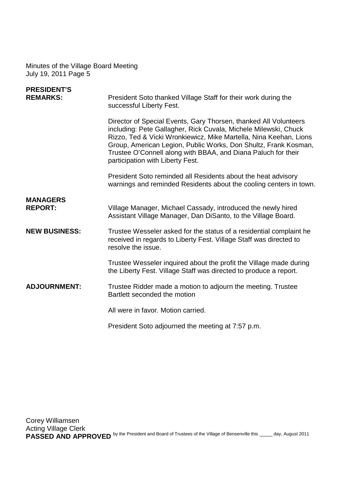| <b>PRESIDENT'S</b><br><b>REMARKS:</b> | President Soto thanked Village Staff for their work during the<br>successful Liberty Fest.                                                                                                                                                                                                                                                                                       |
|---------------------------------------|----------------------------------------------------------------------------------------------------------------------------------------------------------------------------------------------------------------------------------------------------------------------------------------------------------------------------------------------------------------------------------|
|                                       | Director of Special Events, Gary Thorsen, thanked All Volunteers<br>including: Pete Gallagher, Rick Cuvala, Michele Milewski, Chuck<br>Rizzo, Ted & Vicki Wronkiewicz, Mike Martella, Nina Keehan, Lions<br>Group, American Legion, Public Works, Don Shultz, Frank Kosman,<br>Trustee O'Connell along with BBAA, and Diana Paluch for their<br>participation with Liberty Fest. |
|                                       | President Soto reminded all Residents about the heat advisory<br>warnings and reminded Residents about the cooling centers in town.                                                                                                                                                                                                                                              |
| <b>MANAGERS</b><br><b>REPORT:</b>     | Village Manager, Michael Cassady, introduced the newly hired<br>Assistant Village Manager, Dan DiSanto, to the Village Board.                                                                                                                                                                                                                                                    |
| <b>NEW BUSINESS:</b>                  | Trustee Wesseler asked for the status of a residential complaint he<br>received in regards to Liberty Fest. Village Staff was directed to<br>resolve the issue.                                                                                                                                                                                                                  |
|                                       | Trustee Wesseler inquired about the profit the Village made during<br>the Liberty Fest. Village Staff was directed to produce a report.                                                                                                                                                                                                                                          |
| <b>ADJOURNMENT:</b>                   | Trustee Ridder made a motion to adjourn the meeting. Trustee<br>Bartlett seconded the motion                                                                                                                                                                                                                                                                                     |
|                                       | All were in favor. Motion carried.                                                                                                                                                                                                                                                                                                                                               |
|                                       | President Soto adjourned the meeting at 7:57 p.m.                                                                                                                                                                                                                                                                                                                                |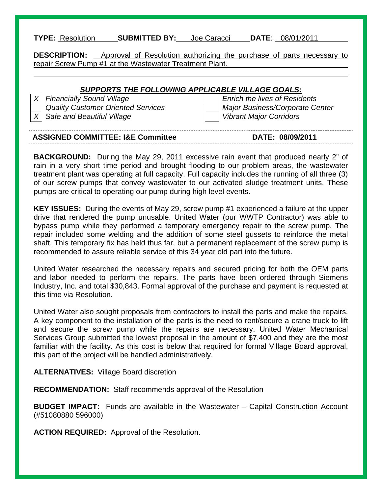#### **TYPE:** Resolution **SUBMITTED BY:** Joe Caracci **DATE**: 08/01/2011

**DESCRIPTION:** Approval of Resolution authorizing the purchase of parts necessary to repair Screw Pump #1 at the Wastewater Treatment Plant.

#### *SUPPORTS THE FOLLOWING APPLICABLE VILLAGE GOALS:*

*X* Financially Sound Village **Enrich the lives of Residents**  *Quality Customer Oriented Services Major Business/Corporate Center X* Safe and Beautiful Village View View Vibrant Major Corridors

l

| <b>ASSIGNED COMMITTEE: I&amp;E Committee</b> | DATE: 08/09/2011 |
|----------------------------------------------|------------------|

**BACKGROUND:** During the May 29, 2011 excessive rain event that produced nearly 2" of rain in a very short time period and brought flooding to our problem areas, the wastewater treatment plant was operating at full capacity. Full capacity includes the running of all three (3) of our screw pumps that convey wastewater to our activated sludge treatment units. These pumps are critical to operating our pump during high level events.

**KEY ISSUES:** During the events of May 29, screw pump #1 experienced a failure at the upper drive that rendered the pump unusable. United Water (our WWTP Contractor) was able to bypass pump while they performed a temporary emergency repair to the screw pump. The repair included some welding and the addition of some steel gussets to reinforce the metal shaft. This temporary fix has held thus far, but a permanent replacement of the screw pump is recommended to assure reliable service of this 34 year old part into the future.

United Water researched the necessary repairs and secured pricing for both the OEM parts and labor needed to perform the repairs. The parts have been ordered through Siemens Industry, Inc. and total \$30,843. Formal approval of the purchase and payment is requested at this time via Resolution.

United Water also sought proposals from contractors to install the parts and make the repairs. A key component to the installation of the parts is the need to rent/secure a crane truck to lift and secure the screw pump while the repairs are necessary. United Water Mechanical Services Group submitted the lowest proposal in the amount of \$7,400 and they are the most familiar with the facility. As this cost is below that required for formal Village Board approval, this part of the project will be handled administratively.

**ALTERNATIVES:** Village Board discretion

**RECOMMENDATION:** Staff recommends approval of the Resolution

**BUDGET IMPACT:** Funds are available in the Wastewater – Capital Construction Account (#51080880 596000)

**ACTION REQUIRED:** Approval of the Resolution.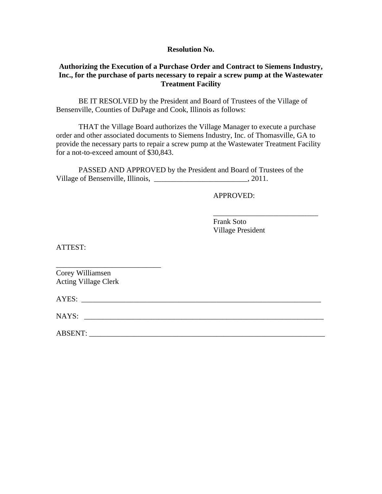#### **Resolution No.**

#### **Authorizing the Execution of a Purchase Order and Contract to Siemens Industry, Inc., for the purchase of parts necessary to repair a screw pump at the Wastewater Treatment Facility**

BE IT RESOLVED by the President and Board of Trustees of the Village of Bensenville, Counties of DuPage and Cook, Illinois as follows:

 THAT the Village Board authorizes the Village Manager to execute a purchase order and other associated documents to Siemens Industry, Inc. of Thomasville, GA to provide the necessary parts to repair a screw pump at the Wastewater Treatment Facility for a not-to-exceed amount of \$30,843.

 PASSED AND APPROVED by the President and Board of Trustees of the Village of Bensenville, Illinois, \_\_\_\_\_\_\_\_\_\_\_\_\_\_\_\_\_\_\_\_\_\_\_\_\_\_\_\_\_, 2011.

 $\overline{\phantom{a}}$  , and the contract of the contract of the contract of the contract of the contract of the contract of the contract of the contract of the contract of the contract of the contract of the contract of the contrac

APPROVED:

 Frank Soto Village President

ATTEST:

Corey Williamsen Acting Village Clerk

\_\_\_\_\_\_\_\_\_\_\_\_\_\_\_\_\_\_\_\_\_\_\_\_\_\_\_\_

AYES:

NAYS: \_\_\_\_\_\_\_\_\_\_\_\_\_\_\_\_\_\_\_\_\_\_\_\_\_\_\_\_\_\_\_\_\_\_\_\_\_\_\_\_\_\_\_\_\_\_\_\_\_\_\_\_\_\_\_\_\_\_\_\_\_\_\_\_

 $\bf ABSENT:$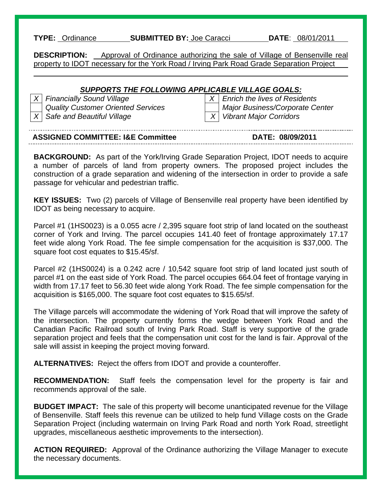#### **TYPE:** Ordinance **SUBMITTED BY:** Joe Caracci **DATE**: 08/01/2011

**DESCRIPTION:** Approval of Ordinance authorizing the sale of Village of Bensenville real property to IDOT necessary for the York Road / Irving Park Road Grade Separation Project

#### *SUPPORTS THE FOLLOWING APPLICABLE VILLAGE GOALS:*

*X* Safe and Beautiful Village X X Vibrant Major Corridors

l

*X* Financially Sound Village X  $\vert$  *X* Enrich the lives of Residents  *Quality Customer Oriented Services Major Business/Corporate Center* 

| <b>ASSIGNED COMMITTEE: I&amp;E Committee</b> | DATE: 08/09/2011 |
|----------------------------------------------|------------------|

**BACKGROUND:** As part of the York/Irving Grade Separation Project, IDOT needs to acquire a number of parcels of land from property owners. The proposed project includes the construction of a grade separation and widening of the intersection in order to provide a safe passage for vehicular and pedestrian traffic.

**KEY ISSUES:** Two (2) parcels of Village of Bensenville real property have been identified by IDOT as being necessary to acquire.

Parcel #1 (1HS0023) is a 0.055 acre / 2,395 square foot strip of land located on the southeast corner of York and Irving. The parcel occupies 141.40 feet of frontage approximately 17.17 feet wide along York Road. The fee simple compensation for the acquisition is \$37,000. The square foot cost equates to \$15.45/sf.

Parcel #2 (1HS0024) is a 0.242 acre / 10,542 square foot strip of land located just south of parcel #1 on the east side of York Road. The parcel occupies 664.04 feet of frontage varying in width from 17.17 feet to 56.30 feet wide along York Road. The fee simple compensation for the acquisition is \$165,000. The square foot cost equates to \$15.65/sf.

The Village parcels will accommodate the widening of York Road that will improve the safety of the intersection. The property currently forms the wedge between York Road and the Canadian Pacific Railroad south of Irving Park Road. Staff is very supportive of the grade separation project and feels that the compensation unit cost for the land is fair. Approval of the sale will assist in keeping the project moving forward.

**ALTERNATIVES:** Reject the offers from IDOT and provide a counteroffer.

**RECOMMENDATION:** Staff feels the compensation level for the property is fair and recommends approval of the sale.

**BUDGET IMPACT:** The sale of this property will become unanticipated revenue for the Village of Bensenville. Staff feels this revenue can be utilized to help fund Village costs on the Grade Separation Project (including watermain on Irving Park Road and north York Road, streetlight upgrades, miscellaneous aesthetic improvements to the intersection).

**ACTION REQUIRED:** Approval of the Ordinance authorizing the Village Manager to execute the necessary documents.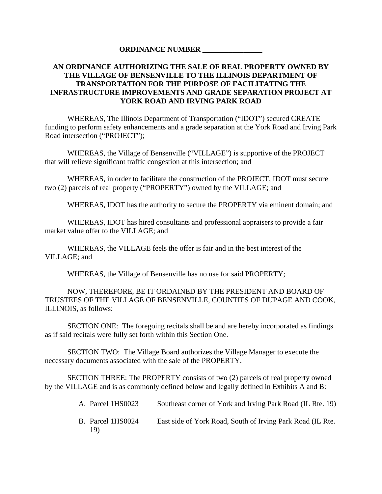#### **ORDINANCE NUMBER \_\_\_\_\_\_\_\_\_\_\_\_\_\_\_\_**

### **AN ORDINANCE AUTHORIZING THE SALE OF REAL PROPERTY OWNED BY THE VILLAGE OF BENSENVILLE TO THE ILLINOIS DEPARTMENT OF TRANSPORTATION FOR THE PURPOSE OF FACILITATING THE INFRASTRUCTURE IMPROVEMENTS AND GRADE SEPARATION PROJECT AT YORK ROAD AND IRVING PARK ROAD**

WHEREAS, The Illinois Department of Transportation ("IDOT") secured CREATE funding to perform safety enhancements and a grade separation at the York Road and Irving Park Road intersection ("PROJECT");

 WHEREAS, the Village of Bensenville ("VILLAGE") is supportive of the PROJECT that will relieve significant traffic congestion at this intersection; and

 WHEREAS, in order to facilitate the construction of the PROJECT, IDOT must secure two (2) parcels of real property ("PROPERTY") owned by the VILLAGE; and

WHEREAS, IDOT has the authority to secure the PROPERTY via eminent domain; and

WHEREAS, IDOT has hired consultants and professional appraisers to provide a fair market value offer to the VILLAGE; and

WHEREAS, the VILLAGE feels the offer is fair and in the best interest of the VILLAGE; and

WHEREAS, the Village of Bensenville has no use for said PROPERTY;

 NOW, THEREFORE, BE IT ORDAINED BY THE PRESIDENT AND BOARD OF TRUSTEES OF THE VILLAGE OF BENSENVILLE, COUNTIES OF DUPAGE AND COOK, ILLINOIS, as follows:

 SECTION ONE: The foregoing recitals shall be and are hereby incorporated as findings as if said recitals were fully set forth within this Section One.

 SECTION TWO: The Village Board authorizes the Village Manager to execute the necessary documents associated with the sale of the PROPERTY.

SECTION THREE: The PROPERTY consists of two (2) parcels of real property owned by the VILLAGE and is as commonly defined below and legally defined in Exhibits A and B:

> A. Parcel 1HS0023 Southeast corner of York and Irving Park Road (IL Rte. 19) B. Parcel 1HS0024 East side of York Road, South of Irving Park Road (IL Rte. 19)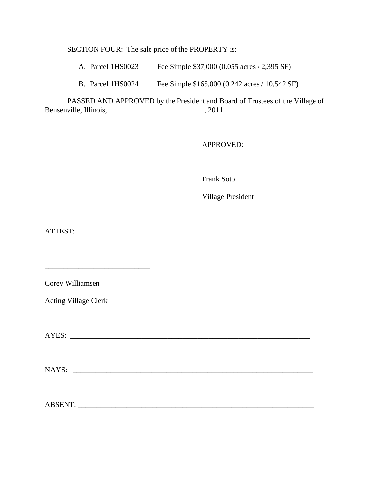SECTION FOUR: The sale price of the PROPERTY is:

A. Parcel 1HS0023 Fee Simple \$37,000 (0.055 acres / 2,395 SF)

B. Parcel 1HS0024 Fee Simple \$165,000 (0.242 acres / 10,542 SF)

 PASSED AND APPROVED by the President and Board of Trustees of the Village of Bensenville, Illinois, \_\_\_\_\_\_\_\_\_\_\_\_\_\_\_\_\_\_\_\_\_\_\_\_\_, 2011.

 $\overline{\phantom{a}}$  , and the contract of the contract of the contract of the contract of the contract of the contract of the contract of the contract of the contract of the contract of the contract of the contract of the contrac

APPROVED:

Frank Soto

Village President

ATTEST:

Corey Williamsen

Acting Village Clerk

\_\_\_\_\_\_\_\_\_\_\_\_\_\_\_\_\_\_\_\_\_\_\_\_\_\_\_\_

AYES: \_\_\_\_\_\_\_\_\_\_\_\_\_\_\_\_\_\_\_\_\_\_\_\_\_\_\_\_\_\_\_\_\_\_\_\_\_\_\_\_\_\_\_\_\_\_\_\_\_\_\_\_\_\_\_\_\_\_\_\_\_\_\_\_

NAYS: \_\_\_\_\_\_\_\_\_\_\_\_\_\_\_\_\_\_\_\_\_\_\_\_\_\_\_\_\_\_\_\_\_\_\_\_\_\_\_\_\_\_\_\_\_\_\_\_\_\_\_\_\_\_\_\_\_\_\_\_\_\_\_\_

ABSENT: \_\_\_\_\_\_\_\_\_\_\_\_\_\_\_\_\_\_\_\_\_\_\_\_\_\_\_\_\_\_\_\_\_\_\_\_\_\_\_\_\_\_\_\_\_\_\_\_\_\_\_\_\_\_\_\_\_\_\_\_\_\_\_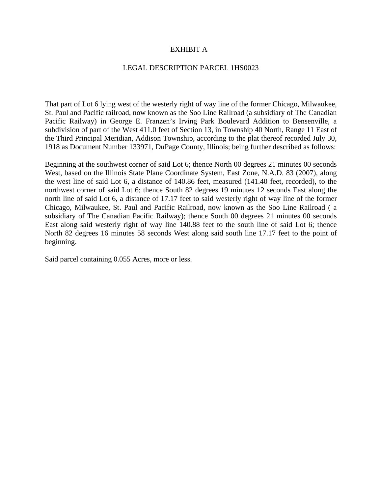#### EXHIBIT A

#### LEGAL DESCRIPTION PARCEL 1HS0023

That part of Lot 6 lying west of the westerly right of way line of the former Chicago, Milwaukee, St. Paul and Pacific railroad, now known as the Soo Line Railroad (a subsidiary of The Canadian Pacific Railway) in George E. Franzen's Irving Park Boulevard Addition to Bensenville, a subdivision of part of the West 411.0 feet of Section 13, in Township 40 North, Range 11 East of the Third Principal Meridian, Addison Township, according to the plat thereof recorded July 30, 1918 as Document Number 133971, DuPage County, Illinois; being further described as follows:

Beginning at the southwest corner of said Lot 6; thence North 00 degrees 21 minutes 00 seconds West, based on the Illinois State Plane Coordinate System, East Zone, N.A.D. 83 (2007), along the west line of said Lot 6, a distance of 140.86 feet, measured (141.40 feet, recorded), to the northwest corner of said Lot 6; thence South 82 degrees 19 minutes 12 seconds East along the north line of said Lot 6, a distance of 17.17 feet to said westerly right of way line of the former Chicago, Milwaukee, St. Paul and Pacific Railroad, now known as the Soo Line Railroad ( a subsidiary of The Canadian Pacific Railway); thence South 00 degrees 21 minutes 00 seconds East along said westerly right of way line 140.88 feet to the south line of said Lot 6; thence North 82 degrees 16 minutes 58 seconds West along said south line 17.17 feet to the point of beginning.

Said parcel containing 0.055 Acres, more or less.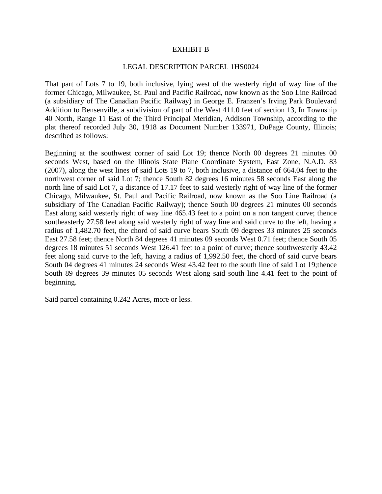#### EXHIBIT B

#### LEGAL DESCRIPTION PARCEL 1HS0024

That part of Lots 7 to 19, both inclusive, lying west of the westerly right of way line of the former Chicago, Milwaukee, St. Paul and Pacific Railroad, now known as the Soo Line Railroad (a subsidiary of The Canadian Pacific Railway) in George E. Franzen's Irving Park Boulevard Addition to Bensenville, a subdivision of part of the West 411.0 feet of section 13, In Township 40 North, Range 11 East of the Third Principal Meridian, Addison Township, according to the plat thereof recorded July 30, 1918 as Document Number 133971, DuPage County, Illinois; described as follows:

Beginning at the southwest corner of said Lot 19; thence North 00 degrees 21 minutes 00 seconds West, based on the Illinois State Plane Coordinate System, East Zone, N.A.D. 83 (2007), along the west lines of said Lots 19 to 7, both inclusive, a distance of 664.04 feet to the northwest corner of said Lot 7; thence South 82 degrees 16 minutes 58 seconds East along the north line of said Lot 7, a distance of 17.17 feet to said westerly right of way line of the former Chicago, Milwaukee, St. Paul and Pacific Railroad, now known as the Soo Line Railroad (a subsidiary of The Canadian Pacific Railway); thence South 00 degrees 21 minutes 00 seconds East along said westerly right of way line 465.43 feet to a point on a non tangent curve; thence southeasterly 27.58 feet along said westerly right of way line and said curve to the left, having a radius of 1,482.70 feet, the chord of said curve bears South 09 degrees 33 minutes 25 seconds East 27.58 feet; thence North 84 degrees 41 minutes 09 seconds West 0.71 feet; thence South 05 degrees 18 minutes 51 seconds West 126.41 feet to a point of curve; thence southwesterly 43.42 feet along said curve to the left, having a radius of 1,992.50 feet, the chord of said curve bears South 04 degrees 41 minutes 24 seconds West 43.42 feet to the south line of said Lot 19;thence South 89 degrees 39 minutes 05 seconds West along said south line 4.41 feet to the point of beginning.

Said parcel containing 0.242 Acres, more or less.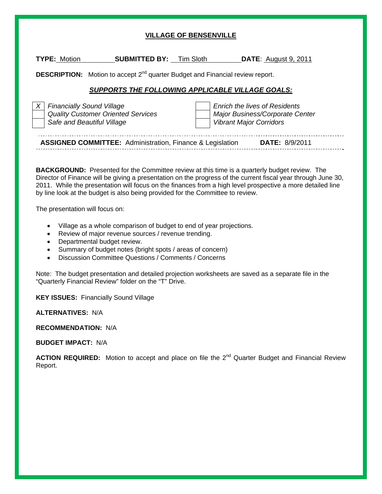#### **VILLAGE OF BENSENVILLE**

| <b>TYPE: Motion</b>                                                                                                                                                                                                                                                                                                                                                                                                                                      | <b>SUBMITTED BY:</b> Tim Sloth                          | <b>DATE</b> : August 9, 2011                                                                              |  |  |  |  |
|----------------------------------------------------------------------------------------------------------------------------------------------------------------------------------------------------------------------------------------------------------------------------------------------------------------------------------------------------------------------------------------------------------------------------------------------------------|---------------------------------------------------------|-----------------------------------------------------------------------------------------------------------|--|--|--|--|
| <b>DESCRIPTION:</b> Motion to accept 2 <sup>nd</sup> quarter Budget and Financial review report.                                                                                                                                                                                                                                                                                                                                                         |                                                         |                                                                                                           |  |  |  |  |
|                                                                                                                                                                                                                                                                                                                                                                                                                                                          | <b>SUPPORTS THE FOLLOWING APPLICABLE VILLAGE GOALS:</b> |                                                                                                           |  |  |  |  |
| <b>Financially Sound Village</b><br>$\chi$<br>Safe and Beautiful Village                                                                                                                                                                                                                                                                                                                                                                                 | <b>Quality Customer Oriented Services</b>               | <b>Enrich the lives of Residents</b><br>Major Business/Corporate Center<br><b>Vibrant Major Corridors</b> |  |  |  |  |
|                                                                                                                                                                                                                                                                                                                                                                                                                                                          |                                                         | <b>ASSIGNED COMMITTEE:</b> Administration, Finance & Legislation <b>DATE:</b> 8/9/2011                    |  |  |  |  |
| <b>BACKGROUND:</b> Presented for the Committee review at this time is a quarterly budget review. The<br>Director of Finance will be giving a presentation on the progress of the current fiscal year through June 30,<br>2011. While the presentation will focus on the finances from a high level prospective a more detailed line<br>by line look at the budget is also being provided for the Committee to review.<br>The presentation will focus on: |                                                         |                                                                                                           |  |  |  |  |
| Village as a whole comparison of budget to end of year projections.<br>$\bullet$<br>Review of major revenue sources / revenue trending.<br>$\bullet$<br>Departmental budget review.<br>$\bullet$<br>Summary of budget notes (bright spots / areas of concern)<br>$\bullet$<br>Discussion Committee Questions / Comments / Concerns<br>$\bullet$                                                                                                          |                                                         |                                                                                                           |  |  |  |  |
|                                                                                                                                                                                                                                                                                                                                                                                                                                                          |                                                         | Note: The budget presentation and detailed projection worksheets are saved as a separate file in the      |  |  |  |  |

**KEY ISSUES:** Financially Sound Village

"Quarterly Financial Review" folder on the "T" Drive.

**ALTERNATIVES:** N/A

**RECOMMENDATION:** N/A

**BUDGET IMPACT:** N/A

ACTION REQUIRED: Motion to accept and place on file the 2<sup>nd</sup> Quarter Budget and Financial Review Report.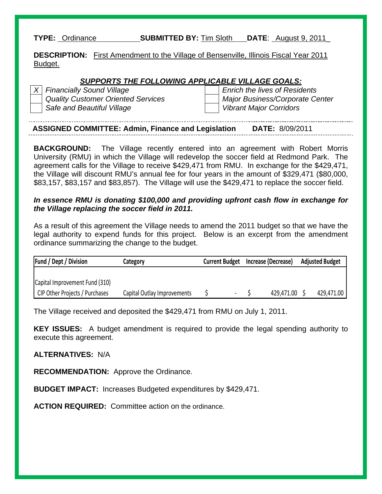**TYPE:** Ordinance **SUBMITTED BY:** Tim Sloth **DATE**: August 9, 2011\_

**DESCRIPTION:** First Amendment to the Village of Bensenville, Illinois Fiscal Year 2011 Budget.

#### *SUPPORTS THE FOLLOWING APPLICABLE VILLAGE GOALS:*

Safe and Beautiful Village View View Vibrant Major Corridors

*X* Financially Sound Village Enrich the lives of Residents  *Quality Customer Oriented Services Major Business/Corporate Center* 

| <b>ASSIGNED COMMITTEE: Admin, Finance and Legislation</b><br><b>DATE: 8/09/2011</b> |
|-------------------------------------------------------------------------------------|
|-------------------------------------------------------------------------------------|

**BACKGROUND:** The Village recently entered into an agreement with Robert Morris University (RMU) in which the Village will redevelop the soccer field at Redmond Park. The agreement calls for the Village to receive \$429,471 from RMU. In exchange for the \$429,471, the Village will discount RMU's annual fee for four years in the amount of \$329,471 (\$80,000, \$83,157, \$83,157 and \$83,857). The Village will use the \$429,471 to replace the soccer field.

### *In essence RMU is donating \$100,000 and providing upfront cash flow in exchange for the Village replacing the soccer field in 2011.*

As a result of this agreement the Village needs to amend the 2011 budget so that we have the legal authority to expend funds for this project. Below is an excerpt from the amendment ordinance summarizing the change to the budget.

| <b>Fund / Dept / Division</b>  | Category                    | Current Budget Increase (Decrease) |            | <b>Adjusted Budget</b> |
|--------------------------------|-----------------------------|------------------------------------|------------|------------------------|
|                                |                             |                                    |            |                        |
| Capital Improvement Fund (310) |                             |                                    |            |                        |
| CIP Other Projects / Purchases | Capital Outlay Improvements |                                    | 429,471.00 | 429,471.00             |

The Village received and deposited the \$429,471 from RMU on July 1, 2011.

**KEY ISSUES:** A budget amendment is required to provide the legal spending authority to execute this agreement.

### **ALTERNATIVES:** N/A

**RECOMMENDATION:** Approve the Ordinance.

**BUDGET IMPACT:** Increases Budgeted expenditures by \$429,471.

**ACTION REQUIRED:** Committee action on the ordinance.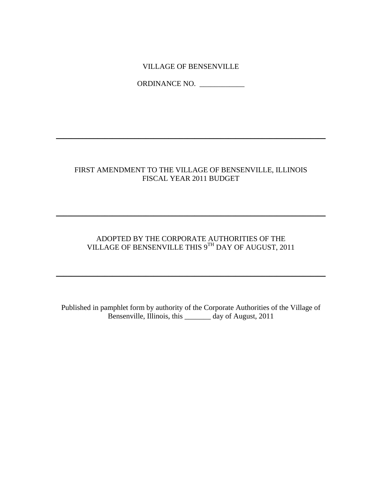### VILLAGE OF BENSENVILLE

ORDINANCE NO. \_\_\_\_\_\_\_\_\_\_\_\_

# FIRST AMENDMENT TO THE VILLAGE OF BENSENVILLE, ILLINOIS FISCAL YEAR 2011 BUDGET

\_\_\_\_\_\_\_\_\_\_\_\_\_\_\_\_\_\_\_\_\_\_\_\_\_\_\_\_\_\_\_\_\_\_\_\_\_\_\_\_\_\_\_\_\_\_\_\_\_\_\_\_\_\_\_\_\_\_\_\_\_\_\_\_\_\_\_\_\_\_\_\_

### ADOPTED BY THE CORPORATE AUTHORITIES OF THE VILLAGE OF BENSENVILLE THIS 9TH DAY OF AUGUST, 2011

\_\_\_\_\_\_\_\_\_\_\_\_\_\_\_\_\_\_\_\_\_\_\_\_\_\_\_\_\_\_\_\_\_\_\_\_\_\_\_\_\_\_\_\_\_\_\_\_\_\_\_\_\_\_\_\_\_\_\_\_\_\_\_\_\_\_\_\_\_\_\_\_

 $\_$  , and the set of the set of the set of the set of the set of the set of the set of the set of the set of the set of the set of the set of the set of the set of the set of the set of the set of the set of the set of th

Published in pamphlet form by authority of the Corporate Authorities of the Village of Bensenville, Illinois, this \_\_\_\_\_\_\_ day of August, 2011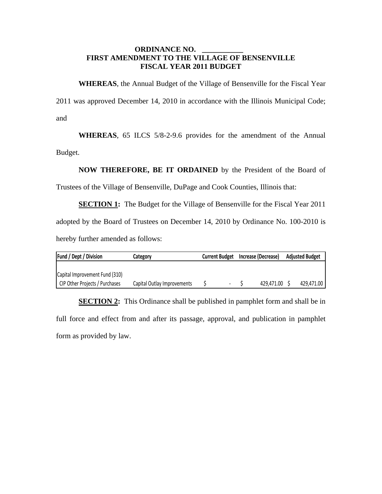#### **ORDINANCE NO. FIRST AMENDMENT TO THE VILLAGE OF BENSENVILLE FISCAL YEAR 2011 BUDGET**

**WHEREAS**, the Annual Budget of the Village of Bensenville for the Fiscal Year 2011 was approved December 14, 2010 in accordance with the Illinois Municipal Code; and

**WHEREAS**, 65 ILCS 5/8-2-9.6 provides for the amendment of the Annual Budget.

**NOW THEREFORE, BE IT ORDAINED** by the President of the Board of

Trustees of the Village of Bensenville, DuPage and Cook Counties, Illinois that:

**SECTION 1:** The Budget for the Village of Bensenville for the Fiscal Year 2011 adopted by the Board of Trustees on December 14, 2010 by Ordinance No. 100-2010 is hereby further amended as follows:

| <b>Fund / Dept / Division</b>  | Current Budget Increase (Decrease)<br>Category |   |              | <b>Adjusted Budget</b> |  |
|--------------------------------|------------------------------------------------|---|--------------|------------------------|--|
|                                |                                                |   |              |                        |  |
| Capital Improvement Fund (310) |                                                |   |              |                        |  |
| CIP Other Projects / Purchases | Capital Outlay Improvements                    | - | 429,471,00 S | 429.471.00             |  |

**SECTION 2:** This Ordinance shall be published in pamphlet form and shall be in full force and effect from and after its passage, approval, and publication in pamphlet form as provided by law.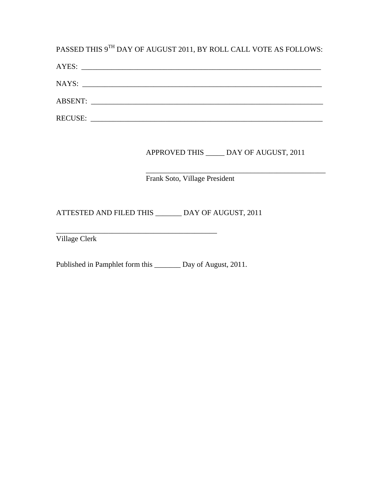PASSED THIS  $9^{\text{TH}}$  DAY OF AUGUST 2011, BY ROLL CALL VOTE AS FOLLOWS:

| AYES:          | <u> 1980 - Jan Barbara, maso a seria da contra a contra a contra de la contra de la contra de la contra de la co</u> |  |  |
|----------------|----------------------------------------------------------------------------------------------------------------------|--|--|
| NAYS:          | <u> 1980 - Jan Barnett, mars et al. (</u> † 1910)                                                                    |  |  |
|                |                                                                                                                      |  |  |
| <b>RECUSE:</b> |                                                                                                                      |  |  |

# APPROVED THIS \_\_\_\_\_ DAY OF AUGUST, 2011

#### $\frac{1}{\sqrt{2}}$  ,  $\frac{1}{\sqrt{2}}$  ,  $\frac{1}{\sqrt{2}}$  ,  $\frac{1}{\sqrt{2}}$  ,  $\frac{1}{\sqrt{2}}$  ,  $\frac{1}{\sqrt{2}}$  ,  $\frac{1}{\sqrt{2}}$  ,  $\frac{1}{\sqrt{2}}$  ,  $\frac{1}{\sqrt{2}}$  ,  $\frac{1}{\sqrt{2}}$  ,  $\frac{1}{\sqrt{2}}$  ,  $\frac{1}{\sqrt{2}}$  ,  $\frac{1}{\sqrt{2}}$  ,  $\frac{1}{\sqrt{2}}$  ,  $\frac{1}{\sqrt{2}}$ Frank Soto, Village President

ATTESTED AND FILED THIS \_\_\_\_\_\_\_ DAY OF AUGUST, 2011

Village Clerk

Published in Pamphlet form this \_\_\_\_\_\_\_ Day of August, 2011.

\_\_\_\_\_\_\_\_\_\_\_\_\_\_\_\_\_\_\_\_\_\_\_\_\_\_\_\_\_\_\_\_\_\_\_\_\_\_\_\_\_\_\_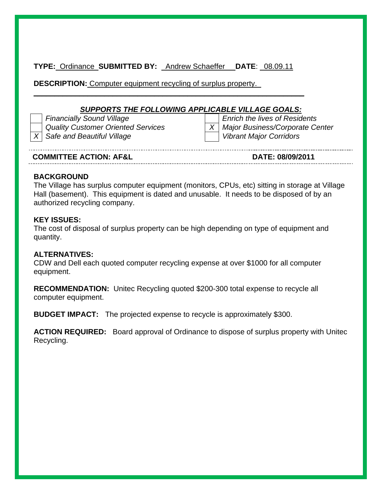**TYPE:** Ordinance **SUBMITTED BY:** Andrew Schaeffer **DATE**: \_08.09.11

 $\_$  , and the set of the set of the set of the set of the set of the set of the set of the set of the set of the set of the set of the set of the set of the set of the set of the set of the set of the set of the set of th

**DESCRIPTION:** Computer equipment recycling of surplus property.\_

# *SUPPORTS THE FOLLOWING APPLICABLE VILLAGE GOALS:*

*X* Safe and Beautiful Village View View Vibrant Major Corridors

*Financially Sound Village* **Enrich the lives of Residents** *Quality Customer Oriented Services* X | *X | Major Business/Corporate Center* 

**COMMITTEE ACTION: AF&L DATE: 08/09/2011** 

# **BACKGROUND**

The Village has surplus computer equipment (monitors, CPUs, etc) sitting in storage at Village Hall (basement). This equipment is dated and unusable. It needs to be disposed of by an authorized recycling company.

# **KEY ISSUES:**

The cost of disposal of surplus property can be high depending on type of equipment and quantity.

### **ALTERNATIVES:**

CDW and Dell each quoted computer recycling expense at over \$1000 for all computer equipment.

**RECOMMENDATION:** Unitec Recycling quoted \$200-300 total expense to recycle all computer equipment.

**BUDGET IMPACT:** The projected expense to recycle is approximately \$300.

**ACTION REQUIRED:** Board approval of Ordinance to dispose of surplus property with Unitec Recycling.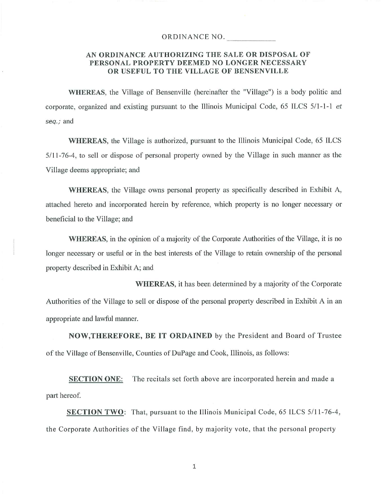#### ORDINANCE NO.

#### AN ORDINANCE AUTHORIZING THE SALE OR DISPOSAL OF PERSONAL PROPERTY DEEMED NO LONGER NECESSARY OR USEFUL TO THE VILLAGE OF BENSENVILLE

**WHEREAS**, the Village of Bensenville (hereinafter the "Village") is a body politic and corporate, organized and existing pursuant to the Illinois Municipal Code, 65 ILCS 5/1-1-1 et seq.; and

**WHEREAS**, the Village is authorized, pursuant to the Illinois Municipal Code, 65 ILCS 5/11-76-4, to sell or dispose of personal property owned by the Village in such manner as the Village deems appropriate; and

**WHEREAS**, the Village owns personal property as specifically described in Exhibit A, attached hereto and incorporated herein by reference, which property is no longer necessary or beneficial to the Village; and

**WHEREAS**, in the opinion of a majority of the Corporate Authorities of the Village, it is no longer necessary or useful or in the best interests of the Village to retain ownership of the personal property described in Exhibit A; and

**WHEREAS**, it has been determined by a majority of the Corporate Authorities of the Village to sell or dispose of the personal property described in Exhibit A in an appropriate and lawful manner.

**NOW, THEREFORE, BE IT ORDAINED** by the President and Board of Trustee of the Village of Bensenville, Counties of DuPage and Cook, Illinois, as follows:

**SECTION ONE:** The recitals set forth above are incorporated herein and made a part hereof.

**SECTION TWO:** That, pursuant to the Illinois Municipal Code, 65 ILCS 5/11-76-4, the Corporate Authorities of the Village find, by majority vote, that the personal property

 $1\,$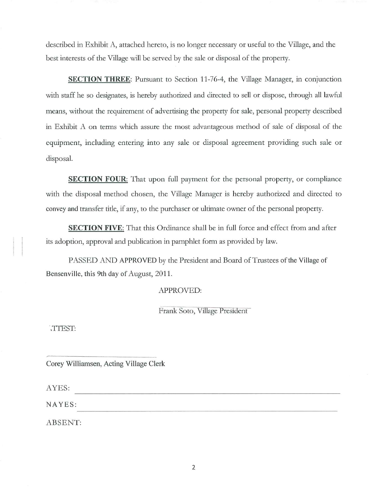described in Exhibit A, attached hereto, is no longer necessary or useful to the Village, and the best interests of the Village will be served by the sale or disposal of the property.

SECTION THREE: Pursuant to Section 11-76-4, the Village Manager, in conjunction with staff he so designates, is hereby authorized and directed to sell or dispose, through all lawful means, without the requirement of advertising the property for sale, personal property described in Exhibit A on terms which assure the most advantageous method of sale of disposal of the equipment, including entering into any sale or disposal agreement providing such sale or disposal.

**SECTION FOUR:** That upon full payment for the personal property, or compliance with the disposal method chosen, the Village Manager is hereby authorized and directed to convey and transfer title, if any, to the purchaser or ultimate owner of the personal property.

**SECTION FIVE:** That this Ordinance shall be in full force and effect from and after its adoption, approval and publication in pamphlet form as provided by law.

PASSED AND APPROVED by the President and Board of Trustees of the Village of Bensenville, this 9th day of August, 2011.

#### **APPROVED:**

Frank Soto, Village President

TTEST:

Corey Williamsen, Acting Village Clerk

AYES:

NAYES:

ABSENT: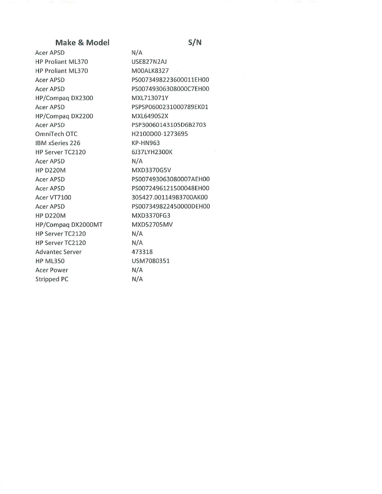#### Make & Model

Acer APSD HP Proliant ML370 HP Proliant ML370 Acer APSD Acer APSD HP/Compag DX2300 Acer APSD HP/Compaq DX2200 Acer APSD OmniTech OTC IBM xSeries 226 HP Server TC2120 Acer APSD **HP D220M Acer APSD** Acer APSD Acer VT7100 Acer APSD **HP D220M** HP/Compaq DX2000MT HP Server TC2120 HP Server TC2120 **Advantec Server HP ML350 Acer Power Stripped PC** 

 $N/A$ USE827N2AJ M00ALK8327 PS0073498223600011EH00 PS00749306308000C7EH00 MXL713071Y PSPSP0600231000789EK01 MXL6490S2X PSP30060143105D6B2703 H2100D00-1273695 **KP-HN963** 6J37LYH2300K  $N/A$ MXD3370G5V PS007493063080007AEH00 PS0072496121500048EH00 305427.00114983700AK00 PS007349822450000DEH00 MXD3370FG3 MXD52705MV  $N/A$  $N/A$ 473318 USM7080351  $N/A$  $N/A$ 

#### $S/N$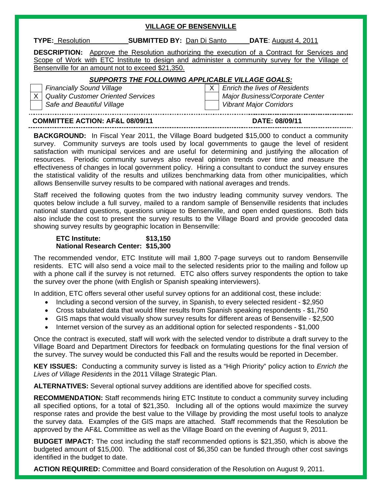#### **VILLAGE OF BENSENVILLE**

**TYPE:** Resolution **SUBMITTED BY:** Dan Di Santo **DATE**: August 4, 2011

**DESCRIPTION:** Approve the Resolution authorizing the execution of a Contract for Services and Scope of Work with ETC Institute to design and administer a community survey for the Village of Bensenville for an amount not to exceed \$21,350.

#### *SUPPORTS THE FOLLOWING APPLICABLE VILLAGE GOALS:*

Safe and Beautiful Village Victorian Corridors **Victorian Corridors Vibrant Major Corridors** 

*Financially Sound Village* **X** X Enrich the lives of Residents X Quality Customer Oriented Services Major Business/Corporate Center

**COMMITTEE ACTION: AF&L 08/09/11 DATE: 08/09/11** 

**BACKGROUND:** In Fiscal Year 2011, the Village Board budgeted \$15,000 to conduct a community survey. Community surveys are tools used by local governments to gauge the level of resident satisfaction with municipal services and are useful for determining and justifying the allocation of resources. Periodic community surveys also reveal opinion trends over time and measure the effectiveness of changes in local government policy. Hiring a consultant to conduct the survey ensures the statistical validity of the results and utilizes benchmarking data from other municipalities, which allows Bensenville survey results to be compared with national averages and trends.

Staff received the following quotes from the two industry leading community survey vendors. The quotes below include a full survey, mailed to a random sample of Bensenville residents that includes national standard questions, questions unique to Bensenville, and open ended questions. Both bids also include the cost to present the survey results to the Village Board and provide geocoded data showing survey results by geographic location in Bensenville:

#### **ETC Institute: \$13,150 National Research Center: \$15,300**

The recommended vendor, ETC Institute will mail 1,800 7-page surveys out to random Bensenville residents. ETC will also send a voice mail to the selected residents prior to the mailing and follow up with a phone call if the survey is not returned. ETC also offers survey respondents the option to take the survey over the phone (with English or Spanish speaking interviewers).

In addition, ETC offers several other useful survey options for an additional cost, these include:

- Including a second version of the survey, in Spanish, to every selected resident \$2,950
- Cross tabulated data that would filter results from Spanish speaking respondents \$1,750
- GIS maps that would visually show survey results for different areas of Bensenville \$2,500
- Internet version of the survey as an additional option for selected respondents \$1,000

Once the contract is executed, staff will work with the selected vendor to distribute a draft survey to the Village Board and Department Directors for feedback on formulating questions for the final version of the survey. The survey would be conducted this Fall and the results would be reported in December.

**KEY ISSUES:** Conducting a community survey is listed as a "High Priority" policy action to *Enrich the Lives of Village Residents* in the 2011 Village Strategic Plan.

**ALTERNATIVES:** Several optional survey additions are identified above for specified costs.

**RECOMMENDATION:** Staff recommends hiring ETC Institute to conduct a community survey including all specified options, for a total of \$21,350. Including all of the options would maximize the survey response rates and provide the best value to the Village by providing the most useful tools to analyze the survey data. Examples of the GIS maps are attached. Staff recommends that the Resolution be approved by the AF&L Committee as well as the Village Board on the evening of August 9, 2011.

**BUDGET IMPACT:** The cost including the staff recommended options is \$21,350, which is above the budgeted amount of \$15,000. The additional cost of \$6,350 can be funded through other cost savings identified in the budget to date.

**ACTION REQUIRED:** Committee and Board consideration of the Resolution on August 9, 2011.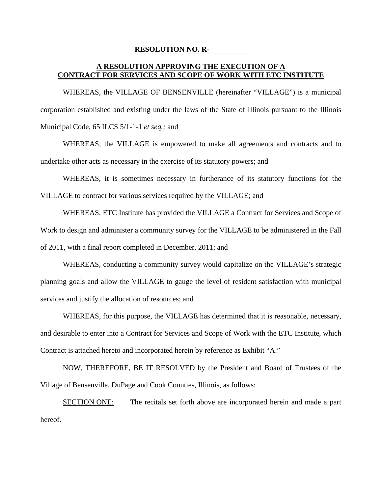#### **RESOLUTION NO. R-**

### **A RESOLUTION APPROVING THE EXECUTION OF A CONTRACT FOR SERVICES AND SCOPE OF WORK WITH ETC INSTITUTE**

 WHEREAS, the VILLAGE OF BENSENVILLE (hereinafter "VILLAGE") is a municipal corporation established and existing under the laws of the State of Illinois pursuant to the Illinois Municipal Code, 65 ILCS 5/1-1-1 *et seq.;* and

 WHEREAS, the VILLAGE is empowered to make all agreements and contracts and to undertake other acts as necessary in the exercise of its statutory powers; and

 WHEREAS, it is sometimes necessary in furtherance of its statutory functions for the VILLAGE to contract for various services required by the VILLAGE; and

 WHEREAS, ETC Institute has provided the VILLAGE a Contract for Services and Scope of Work to design and administer a community survey for the VILLAGE to be administered in the Fall of 2011, with a final report completed in December, 2011; and

 WHEREAS, conducting a community survey would capitalize on the VILLAGE's strategic planning goals and allow the VILLAGE to gauge the level of resident satisfaction with municipal services and justify the allocation of resources; and

 WHEREAS, for this purpose, the VILLAGE has determined that it is reasonable, necessary, and desirable to enter into a Contract for Services and Scope of Work with the ETC Institute, which Contract is attached hereto and incorporated herein by reference as Exhibit "A."

 NOW, THEREFORE, BE IT RESOLVED by the President and Board of Trustees of the Village of Bensenville, DuPage and Cook Counties, Illinois, as follows:

 SECTION ONE: The recitals set forth above are incorporated herein and made a part hereof.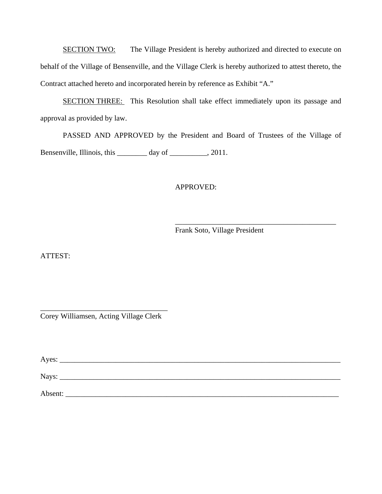SECTION TWO: The Village President is hereby authorized and directed to execute on behalf of the Village of Bensenville, and the Village Clerk is hereby authorized to attest thereto, the Contract attached hereto and incorporated herein by reference as Exhibit "A."

 SECTION THREE: This Resolution shall take effect immediately upon its passage and approval as provided by law.

 PASSED AND APPROVED by the President and Board of Trustees of the Village of Bensenville, Illinois, this \_\_\_\_\_\_\_\_ day of \_\_\_\_\_\_\_\_, 2011.

### APPROVED:

 $\overline{\phantom{a}}$  , and the contract of the contract of the contract of the contract of the contract of the contract of the contract of the contract of the contract of the contract of the contract of the contract of the contrac

Frank Soto, Village President

ATTEST:

\_\_\_\_\_\_\_\_\_\_\_\_\_\_\_\_\_\_\_\_\_\_\_\_\_\_\_\_\_\_\_\_\_\_ Corey Williamsen, Acting Village Clerk

Ayes: \_\_\_\_\_\_\_\_\_\_\_\_\_\_\_\_\_\_\_\_\_\_\_\_\_\_\_\_\_\_\_\_\_\_\_\_\_\_\_\_\_\_\_\_\_\_\_\_\_\_\_\_\_\_\_\_\_\_\_\_\_\_\_\_\_\_\_\_\_\_\_\_\_\_\_

Nays: \_\_\_\_\_\_\_\_\_\_\_\_\_\_\_\_\_\_\_\_\_\_\_\_\_\_\_\_\_\_\_\_\_\_\_\_\_\_\_\_\_\_\_\_\_\_\_\_\_\_\_\_\_\_\_\_\_\_\_\_\_\_\_\_\_\_\_\_\_\_\_\_\_\_\_

Absent: \_\_\_\_\_\_\_\_\_\_\_\_\_\_\_\_\_\_\_\_\_\_\_\_\_\_\_\_\_\_\_\_\_\_\_\_\_\_\_\_\_\_\_\_\_\_\_\_\_\_\_\_\_\_\_\_\_\_\_\_\_\_\_\_\_\_\_\_\_\_\_\_\_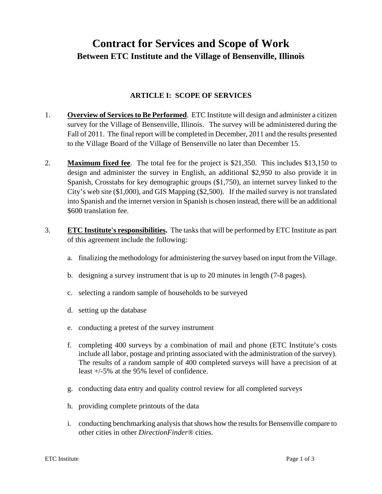# **Contract for Services and Scope of Work Between ETC Institute and the Village of Bensenville, Illinois**

## **ARTICLE I: SCOPE OF SERVICES**

- 1. **Overview of Services to Be Performed**. ETC Institute will design and administer a citizen survey for the Village of Bensenville, Illinois. The survey will be administered during the Fall of 2011. The final report will be completed in December, 2011 and the results presented to the Village Board of the Village of Bensenville no later than December 15.
- 2. **Maximum fixed fee**. The total fee for the project is \$21,350. This includes \$13,150 to design and administer the survey in English, an additional \$2,950 to also provide it in Spanish, Crosstabs for key demographic groups (\$1,750), an internet survey linked to the City's web site (\$1,000), and GIS Mapping (\$2,500). If the mailed survey is not translated into Spanish and the internet version in Spanish is chosen instead, there will be an additional \$600 translation fee.
- 3. **ETC Institute's responsibilities.** The tasks that will be performed by ETC Institute as part of this agreement include the following:
	- a. finalizing the methodology for administering the survey based on input from the Village.
	- b. designing a survey instrument that is up to 20 minutes in length (7-8 pages).
	- c. selecting a random sample of households to be surveyed
	- d. setting up the database
	- e. conducting a pretest of the survey instrument
	- f. completing 400 surveys by a combination of mail and phone (ETC Institute's costs include all labor, postage and printing associated with the administration of the survey). The results of a random sample of 400 completed surveys will have a precision of at least +/-5% at the 95% level of confidence.
	- g. conducting data entry and quality control review for all completed surveys
	- h. providing complete printouts of the data
	- i. conducting benchmarking analysis that shows how the results for Bensenville compare to other cities in other *DirectionFinder®* cities.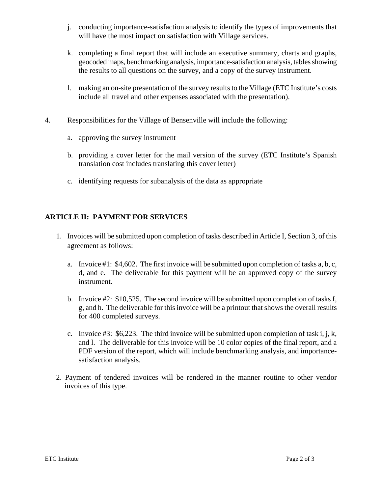- j. conducting importance-satisfaction analysis to identify the types of improvements that will have the most impact on satisfaction with Village services.
- k. completing a final report that will include an executive summary, charts and graphs, geocoded maps, benchmarking analysis, importance-satisfaction analysis, tables showing the results to all questions on the survey, and a copy of the survey instrument.
- l. making an on-site presentation of the survey results to the Village (ETC Institute's costs include all travel and other expenses associated with the presentation).
- 4. Responsibilities for the Village of Bensenville will include the following:
	- a. approving the survey instrument
	- b. providing a cover letter for the mail version of the survey (ETC Institute's Spanish translation cost includes translating this cover letter)
	- c. identifying requests for subanalysis of the data as appropriate

# **ARTICLE II: PAYMENT FOR SERVICES**

- 1. Invoices will be submitted upon completion of tasks described in Article I, Section 3, of this agreement as follows:
	- a. Invoice #1: \$4,602. The first invoice will be submitted upon completion of tasks a, b, c, d, and e. The deliverable for this payment will be an approved copy of the survey instrument.
	- b. Invoice #2: \$10,525. The second invoice will be submitted upon completion of tasks f, g, and h. The deliverable for this invoice will be a printout that shows the overall results for 400 completed surveys.
	- c. Invoice  $#3: $6,223$ . The third invoice will be submitted upon completion of task i, j, k, and l. The deliverable for this invoice will be 10 color copies of the final report, and a PDF version of the report, which will include benchmarking analysis, and importancesatisfaction analysis.
- 2. Payment of tendered invoices will be rendered in the manner routine to other vendor invoices of this type.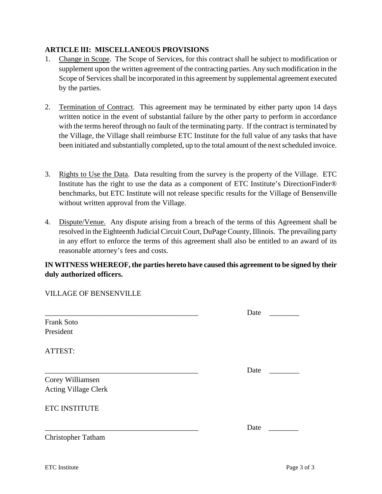#### **ARTICLE lII: MISCELLANEOUS PROVISIONS**

- 1. Change in Scope. The Scope of Services, for this contract shall be subject to modification or supplement upon the written agreement of the contracting parties. Any such modification in the Scope of Services shall be incorporated in this agreement by supplemental agreement executed by the parties.
- 2. Termination of Contract. This agreement may be terminated by either party upon 14 days written notice in the event of substantial failure by the other party to perform in accordance with the terms hereof through no fault of the terminating party. If the contract is terminated by the Village, the Village shall reimburse ETC Institute for the full value of any tasks that have been initiated and substantially completed, up to the total amount of the next scheduled invoice.
- 3. Rights to Use the Data. Data resulting from the survey is the property of the Village. ETC Institute has the right to use the data as a component of ETC Institute's DirectionFinder® benchmarks, but ETC Institute will not release specific results for the Village of Bensenville without written approval from the Village.
- 4. Dispute/Venue. Any dispute arising from a breach of the terms of this Agreement shall be resolved in the Eighteenth Judicial Circuit Court, DuPage County, Illinois. The prevailing party in any effort to enforce the terms of this agreement shall also be entitled to an award of its reasonable attorney's fees and costs.

# **IN WITNESS WHEREOF, the parties hereto have caused this agreement to be signed by their duly authorized officers.**

| <b>Frank Soto</b><br>President                  | Date |  |
|-------------------------------------------------|------|--|
| ATTEST:                                         |      |  |
| Corey Williamsen<br><b>Acting Village Clerk</b> | Date |  |
| <b>ETC INSTITUTE</b>                            |      |  |
| <b>Christopher Tatham</b>                       | Date |  |

VILLAGE OF BENSENVILLE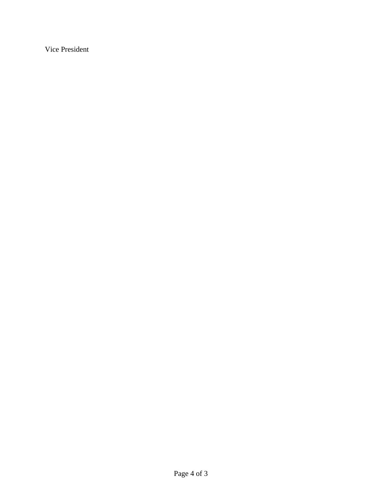Vice President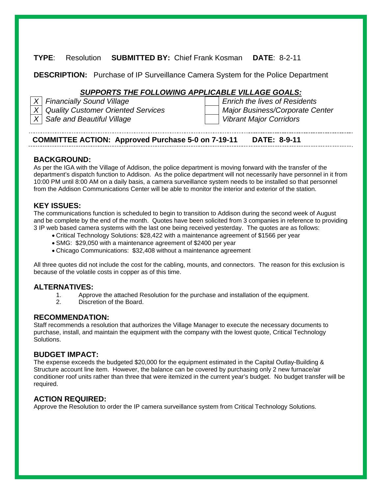# **TYPE**: Resolution **SUBMITTED BY:** Chief Frank Kosman **DATE**: 8-2-11

**DESCRIPTION:** Purchase of IP Surveillance Camera System for the Police Department

# *SUPPORTS THE FOLLOWING APPLICABLE VILLAGE GOALS:*

| $X$ Financially Sound Village          | <b>Enrich the lives of Residents</b> |
|----------------------------------------|--------------------------------------|
| X   Quality Customer Oriented Services | Major Business/Corporate Center      |
| $X$ Safe and Beautiful Village         | <b>Vibrant Major Corridors</b>       |

# **COMMITTEE ACTION: Approved Purchase 5-0 on 7-19-11 DATE: 8-9-11**

#### **BACKGROUND:**

As per the IGA with the Village of Addison, the police department is moving forward with the transfer of the department's dispatch function to Addison. As the police department will not necessarily have personnel in it from 10:00 PM until 8:00 AM on a daily basis, a camera surveillance system needs to be installed so that personnel from the Addison Communications Center will be able to monitor the interior and exterior of the station.

#### **KEY ISSUES:**

The communications function is scheduled to begin to transition to Addison during the second week of August and be complete by the end of the month. Quotes have been solicited from 3 companies in reference to providing 3 IP web based camera systems with the last one being received yesterday. The quotes are as follows:

- Critical Technology Solutions: \$28,422 with a maintenance agreement of \$1566 per year
- SMG: \$29,050 with a maintenance agreement of \$2400 per year
- Chicago Communications: \$32,408 without a maintenance agreement

All three quotes did not include the cost for the cabling, mounts, and connectors. The reason for this exclusion is because of the volatile costs in copper as of this time.

- **ALTERNATIVES:** 1. Approve the attached Resolution for the purchase and installation of the equipment.
	- 2. Discretion of the Board.

**RECOMMENDATION:**<br>Staff recommends a resolution that authorizes the Village Manager to execute the necessary documents to purchase, install, and maintain the equipment with the company with the lowest quote, Critical Technology Solutions.

#### **BUDGET IMPACT:**

The expense exceeds the budgeted \$20,000 for the equipment estimated in the Capital Outlay-Building & Structure account line item. However, the balance can be covered by purchasing only 2 new furnace/air conditioner roof units rather than three that were itemized in the current year's budget. No budget transfer will be required.

**ACTION REQUIRED:**<br>Approve the Resolution to order the IP camera surveillance system from Critical Technology Solutions.